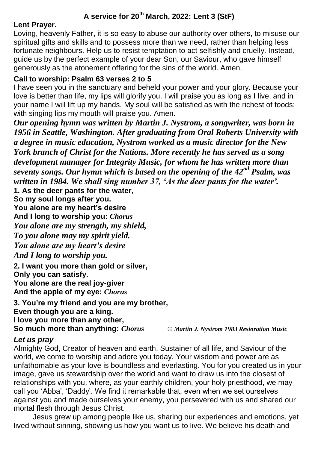# **A service for 20th March, 2022: Lent 3 (StF)**

# **Lent Prayer.**

Loving, heavenly Father, it is so easy to abuse our authority over others, to misuse our spiritual gifts and skills and to possess more than we need, rather than helping less fortunate neighbours. Help us to resist temptation to act selfishly and cruelly. Instead, guide us by the perfect example of your dear Son, our Saviour, who gave himself generously as the atonement offering for the sins of the world. Amen.

# **Call to worship: Psalm 63 verses 2 to 5**

I have seen you in the sanctuary and beheld your power and your glory. Because your love is better than life, my lips will glorify you. I will praise you as long as I live, and in your name I will lift up my hands. My soul will be satisfied as with the richest of foods; with singing lips my mouth will praise you. Amen.

*Our opening hymn was written by Martin J. Nystrom, a songwriter, was born in 1956 in Seattle, Washington. After graduating from Oral Roberts University with a degree in music education, Nystrom worked as a music director for the New York branch of Christ for the Nations. More recently he has served as a song development manager for Integrity Music, for whom he has written more than seventy songs. Our hymn which is based on the opening of the 42nd Psalm, was written in 1984. We shall sing number 37, 'As the deer pants for the water'.*

**1. As the deer pants for the water,** 

**So my soul longs after you.**

**You alone are my heart's desire**

**And I long to worship you:** *Chorus*

*You alone are my strength, my shield,*

*To you alone may my spirit yield.*

*You alone are my heart's desire*

*And I long to worship you.*

**2. I want you more than gold or silver, Only you can satisfy. You alone are the real joy-giver And the apple of my eye:** *Chorus*

**3. You're my friend and you are my brother, Even though you are a king. I love you more than any other, So much more than anything:** *Chorus © Martin J. Nystrom 1983 Restoration Music*

# *Let us pray*

Almighty God, Creator of heaven and earth, Sustainer of all life, and Saviour of the world, we come to worship and adore you today. Your wisdom and power are as unfathomable as your love is boundless and everlasting. You for you created us in your image, gave us stewardship over the world and want to draw us into the closest of relationships with you, where, as your earthly children, your holy priesthood, we may call you 'Abba', 'Daddy'. We find it remarkable that, even when we set ourselves against you and made ourselves your enemy, you persevered with us and shared our mortal flesh through Jesus Christ.

Jesus grew up among people like us, sharing our experiences and emotions, yet lived without sinning, showing us how you want us to live. We believe his death and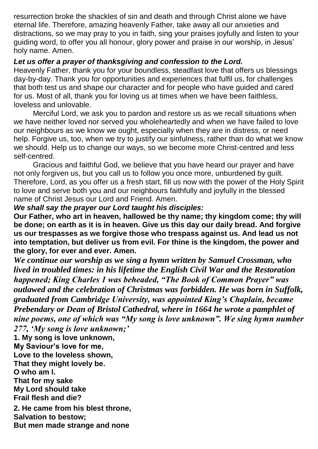resurrection broke the shackles of sin and death and through Christ alone we have eternal life. Therefore, amazing heavenly Father, take away all our anxieties and distractions, so we may pray to you in faith, sing your praises joyfully and listen to your guiding word, to offer you all honour, glory power and praise in our worship, in Jesus' holy name. Amen.

# *Let us offer a prayer of thanksgiving and confession to the Lord.*

Heavenly Father, thank you for your boundless, steadfast love that offers us blessings day-by-day. Thank you for opportunities and experiences that fulfil us, for challenges that both test us and shape our character and for people who have guided and cared for us. Most of all, thank you for loving us at times when we have been faithless, loveless and unlovable.

Merciful Lord, we ask you to pardon and restore us as we recall situations when we have neither loved nor served you wholeheartedly and when we have failed to love our neighbours as we know we ought, especially when they are in distress, or need help. Forgive us, too, when we try to justify our sinfulness, rather than do what we know we should. Help us to change our ways, so we become more Christ-centred and less self-centred.

Gracious and faithful God, we believe that you have heard our prayer and have not only forgiven us, but you call us to follow you once more, unburdened by guilt. Therefore, Lord, as you offer us a fresh start, fill us now with the power of the Holy Spirit to love and serve both you and our neighbours faithfully and joyfully in the blessed name of Christ Jesus our Lord and Friend. Amen.

# *We shall say the prayer our Lord taught his disciples:*

**Our Father, who art in heaven, hallowed be thy name; thy kingdom come; thy will be done; on earth as it is in heaven. Give us this day our daily bread. And forgive us our trespasses as we forgive those who trespass against us. And lead us not into temptation, but deliver us from evil. For thine is the kingdom, the power and the glory, for ever and ever. Amen.**

*We continue our worship as we sing a hymn written by Samuel Crossman, who lived in troubled times: in his lifetime the English Civil War and the Restoration happened; King Charles 1 was beheaded, "The Book of Common Prayer" was outlawed and the celebration of Christmas was forbidden. He was born in Suffolk, graduated from Cambridge University, was appointed King's Chaplain, became Prebendary or Dean of Bristol Cathedral, where in 1664 he wrote a pamphlet of nine poems, one of which was "My song is love unknown". We sing hymn number 277, 'My song is love unknown;'*

**1. My song is love unknown, My Saviour's love for me, Love to the loveless shown, That they might lovely be. O who am I. That for my sake My Lord should take Frail flesh and die? 2. He came from his blest throne, Salvation to bestow; But men made strange and none**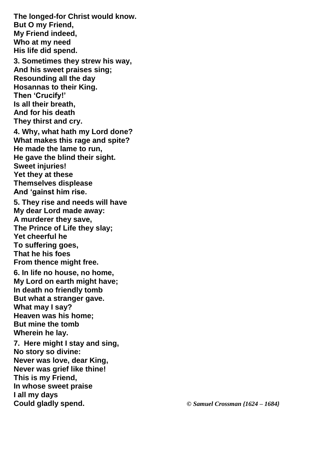**The longed-for Christ would know. But O my Friend, My Friend indeed, Who at my need His life did spend.**

**3. Sometimes they strew his way, And his sweet praises sing; Resounding all the day Hosannas to their King. Then 'Crucify!' Is all their breath, And for his death They thirst and cry.**

**4. Why, what hath my Lord done? What makes this rage and spite? He made the lame to run, He gave the blind their sight. Sweet injuries! Yet they at these Themselves displease And 'gainst him rise.**

**5. They rise and needs will have My dear Lord made away: A murderer they save, The Prince of Life they slay; Yet cheerful he To suffering goes, That he his foes From thence might free.**

**6. In life no house, no home, My Lord on earth might have; In death no friendly tomb But what a stranger gave. What may I say? Heaven was his home; But mine the tomb Wherein he lay.**

**7. Here might I stay and sing, No story so divine: Never was love, dear King, Never was grief like thine! This is my Friend, In whose sweet praise I all my days**

**Could gladly spend.** *© Samuel Crossman {1624 – 1684}*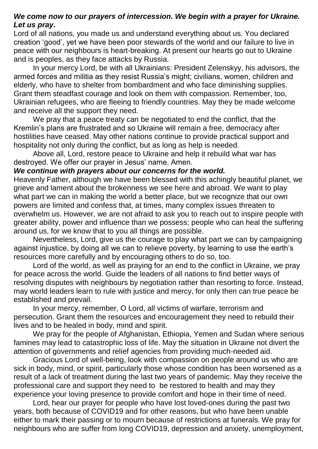# *We come now to our prayers of intercession. We begin with a prayer for Ukraine. Let us pray.*

Lord of all nations, you made us and understand everything about us. You declared creation 'good', yet we have been poor stewards of the world and our failure to live in peace with our neighbours is heart-breaking. At present our hearts go out to Ukraine and is peoples, as they face attacks by Russia.

In your mercy Lord, be with all Ukrainians: President Zelenskyy, his advisors, the armed forces and militia as they resist Russia's might; civilians, women, children and elderly, who have to shelter from bombardment and who face diminishing supplies. Grant them steadfast courage and look on them with compassion. Remember, too, Ukrainian refugees, who are fleeing to friendly countries. May they be made welcome and receive all the support they need.

We pray that a peace treaty can be negotiated to end the conflict, that the Kremlin's plans are frustrated and so Ukraine will remain a free, democracy after hostilities have ceased. May other nations continue to provide practical support and hospitality not only during the conflict, but as long as help is needed.

Above all, Lord, restore peace to Ukraine and help it rebuild what war has destroyed. We offer our prayer in Jesus' name. Amen.

# *We continue with prayers about our concerns for the world.*

Heavenly Father, although we have been blessed with this achingly beautiful planet, we grieve and lament about the brokenness we see here and abroad. We want to play what part we can in making the world a better place, but we recognize that our own powers are limited and confess that, at times, many complex issues threaten to overwhelm us. However, we are not afraid to ask you to reach out to inspire people with greater ability, power and influence than we possess; people who can heal the suffering around us, for we know that to you all things are possible.

Nevertheless, Lord, give us the courage to play what part we can by campaigning against injustice, by doing all we can to relieve poverty, by learning to use the earth's resources more carefully and by encouraging others to do so, too.

Lord of the world, as well as praying for an end to the conflict in Ukraine, we pray for peace across the world. Guide the leaders of all nations to find better ways of resolving disputes with neighbours by negotiation rather than resorting to force. Instead, may world leaders learn to rule with justice and mercy, for only then can true peace be established and prevail.

In your mercy, remember, O Lord, all victims of warfare, terrorism and persecution. Grant them the resources and encouragement they need to rebuild their lives and to be healed in body, mind and spirit.

We pray for the people of Afghanistan, Ethiopia, Yemen and Sudan where serious famines may lead to catastrophic loss of life. May the situation in Ukraine not divert the attention of governments and relief agencies from providing much-needed aid.

Gracious Lord of well-being, look with compassion on people around us who are sick in body, mind, or spirit, particularly those whose condition has been worsened as a result of a lack of treatment during the last two years of pandemic. May they receive the professional care and support they need to be restored to health and may they experience your loving presence to provide comfort and hope in their time of need.

Lord, hear our prayer for people who have lost loved-ones during the past two years, both because of COVID19 and for other reasons, but who have been unable either to mark their passing or to mourn because of restrictions at funerals. We pray for neighbours who are suffer from long COVID19, depression and anxiety, unemployment,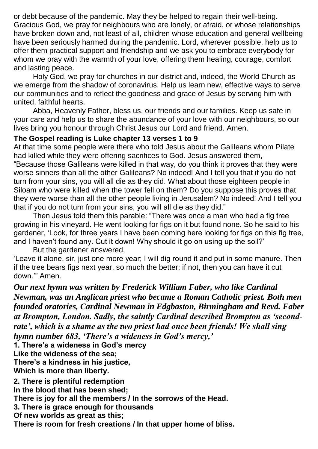or debt because of the pandemic. May they be helped to regain their well-being. Gracious God, we pray for neighbours who are lonely, or afraid, or whose relationships have broken down and, not least of all, children whose education and general wellbeing have been seriously harmed during the pandemic. Lord, wherever possible, help us to offer them practical support and friendship and we ask you to embrace everybody for whom we pray with the warmth of your love, offering them healing, courage, comfort and lasting peace.

Holy God, we pray for churches in our district and, indeed, the World Church as we emerge from the shadow of coronavirus. Help us learn new, effective ways to serve our communities and to reflect the goodness and grace of Jesus by serving him with united, faithful hearts.

Abba, Heavenly Father, bless us, our friends and our families. Keep us safe in your care and help us to share the abundance of your love with our neighbours, so our lives bring you honour through Christ Jesus our Lord and friend. Amen.

# **The Gospel reading is Luke chapter 13 verses 1 to 9**

At that time some people were there who told Jesus about the Galileans whom Pilate had killed while they were offering sacrifices to God. Jesus answered them, "Because those Galileans were killed in that way, do you think it proves that they were worse sinners than all the other Galileans? No indeed! And I tell you that if you do not turn from your sins, you will all die as they did. What about those eighteen people in Siloam who were killed when the tower fell on them? Do you suppose this proves that they were worse than all the other people living in Jerusalem? No indeed! And I tell you that if you do not turn from your sins, you will all die as they did."

Then Jesus told them this parable: "There was once a man who had a fig tree growing in his vineyard. He went looking for figs on it but found none. So he said to his gardener, 'Look, for three years I have been coming here looking for figs on this fig tree, and I haven't found any. Cut it down! Why should it go on using up the soil?'

But the gardener answered,

'Leave it alone, sir, just one more year; I will dig round it and put in some manure. Then if the tree bears figs next year, so much the better; if not, then you can have it cut down.'" Amen.

*Our next hymn was written by Frederick William Faber, who like Cardinal Newman, was an Anglican priest who became a Roman Catholic priest. Both men founded oratories, Cardinal Newman in Edgbaston, Birmingham and Revd. Faber at Brompton, London. Sadly, the saintly Cardinal described Brompton as 'secondrate', which is a shame as the two priest had once been friends! We shall sing hymn number 683, 'There's a wideness in God's mercy,'*

**1. There's a wideness in God's mercy**

**Like the wideness of the sea;**

**There's a kindness in his justice,**

**Which is more than liberty.**

**2. There is plentiful redemption**

**In the blood that has been shed;**

**There is joy for all the members / In the sorrows of the Head.**

**3. There is grace enough for thousands**

**Of new worlds as great as this;**

**There is room for fresh creations / In that upper home of bliss.**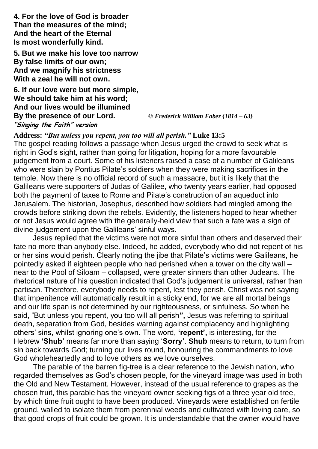**4. For the love of God is broader Than the measures of the mind; And the heart of the Eternal Is most wonderfully kind.**

**5. But we make his love too narrow By false limits of our own; And we magnify his strictness With a zeal he will not own.**

#### **6. If our love were but more simple, We should take him at his word; And our lives would be illumined By the presence of our Lord.** *© Frederick William Faber {1814 – 63}* **"Singing the Faith" version**

#### **Address:** *"But unless you repent, you too will all perish."* **Luke 13:5**

The gospel reading follows a passage when Jesus urged the crowd to seek what is right in God's sight, rather than going for litigation, hoping for a more favourable judgement from a court. Some of his listeners raised a case of a number of Galileans who were slain by Pontius Pilate's soldiers when they were making sacrifices in the temple. Now there is no official record of such a massacre, but it is likely that the Galileans were supporters of Judas of Galilee, who twenty years earlier, had opposed both the payment of taxes to Rome and Pilate's construction of an aqueduct into Jerusalem. The historian, Josephus, described how soldiers had mingled among the crowds before striking down the rebels. Evidently, the listeners hoped to hear whether or not Jesus would agree with the generally-held view that such a fate was a sign of divine judgement upon the Galileans' sinful ways.

Jesus replied that the victims were not more sinful than others and deserved their fate no more than anybody else. Indeed, he added, everybody who did not repent of his or her sins would perish. Clearly noting the jibe that Pilate's victims were Galileans, he pointedly asked if eighteen people who had perished when a tower on the city wall – near to the Pool of Siloam – collapsed, were greater sinners than other Judeans. The rhetorical nature of his question indicated that God's judgement is universal, rather than partisan. Therefore, everybody needs to repent, lest they perish. Christ was not saying that impenitence will automatically result in a sticky end, for we are all mortal beings and our life span is not determined by our righteousness, or sinfulness. So when he said, "But unless you repent, you too will all perish**",** Jesus was referring to spiritual death, separation from God, besides warning against complacency and highlighting others' sins, whilst ignoring one's own. The word, **'repent',** is interesting, for the Hebrew **'Shub'** means far more than saying '**Sorry'**. **Shub** means to return, to turn from sin back towards God; turning our lives round, honouring the commandments to love God wholeheartedly and to love others as we love ourselves.

The parable of the barren fig-tree is a clear reference to the Jewish nation, who regarded themselves as God's chosen people, for the vineyard image was used in both the Old and New Testament. However, instead of the usual reference to grapes as the chosen fruit, this parable has the vineyard owner seeking figs of a three year old tree, by which time fruit ought to have been produced. Vineyards were established on fertile ground, walled to isolate them from perennial weeds and cultivated with loving care, so that good crops of fruit could be grown. It is understandable that the owner would have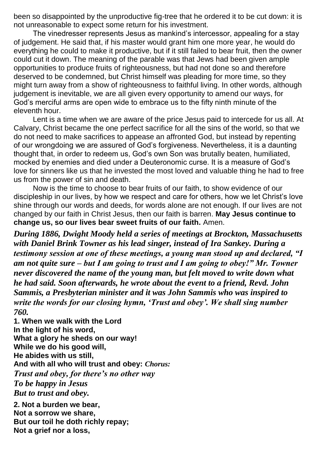been so disappointed by the unproductive fig-tree that he ordered it to be cut down: it is not unreasonable to expect some return for his investment.

The vinedresser represents Jesus as mankind's intercessor, appealing for a stay of judgement. He said that, if his master would grant him one more year, he would do everything he could to make it productive, but if it still failed to bear fruit, then the owner could cut it down. The meaning of the parable was that Jews had been given ample opportunities to produce fruits of righteousness, but had not done so and therefore deserved to be condemned, but Christ himself was pleading for more time, so they might turn away from a show of righteousness to faithful living. In other words, although judgement is inevitable, we are all given every opportunity to amend our ways, for God's merciful arms are open wide to embrace us to the fifty ninth minute of the eleventh hour.

Lent is a time when we are aware of the price Jesus paid to intercede for us all. At Calvary, Christ became the one perfect sacrifice for all the sins of the world, so that we do not need to make sacrifices to appease an affronted God, but instead by repenting of our wrongdoing we are assured of God's forgiveness. Nevertheless, it is a daunting thought that, in order to redeem us, God's own Son was brutally beaten, humiliated, mocked by enemies and died under a Deuteronomic curse. It is a measure of God's love for sinners like us that he invested the most loved and valuable thing he had to free us from the power of sin and death.

Now is the time to choose to bear fruits of our faith, to show evidence of our discipleship in our lives, by how we respect and care for others, how we let Christ's love shine through our words and deeds, for words alone are not enough. If our lives are not changed by our faith in Christ Jesus, then our faith is barren. **May Jesus continue to change us, so our lives bear sweet fruits of our faith.** Amen.

*During 1886, Dwight Moody held a series of meetings at Brockton, Massachusetts with Daniel Brink Towner as his lead singer, instead of Ira Sankey. During a testimony session at one of these meetings, a young man stood up and declared, "I am not quite sure – but I am going to trust and I am going to obey!" Mr. Towner never discovered the name of the young man, but felt moved to write down what he had said. Soon afterwards, he wrote about the event to a friend, Revd. John Sammis, a Presbyterian minister and it was John Sammis who was inspired to write the words for our closing hymn, 'Trust and obey'. We shall sing number 760.*

**1. When we walk with the Lord In the light of his word, What a glory he sheds on our way! While we do his good will, He abides with us still, And with all who will trust and obey:** *Chorus: Trust and obey, for there's no other way To be happy in Jesus But to trust and obey.*

**2. Not a burden we bear, Not a sorrow we share, But our toil he doth richly repay; Not a grief nor a loss,**